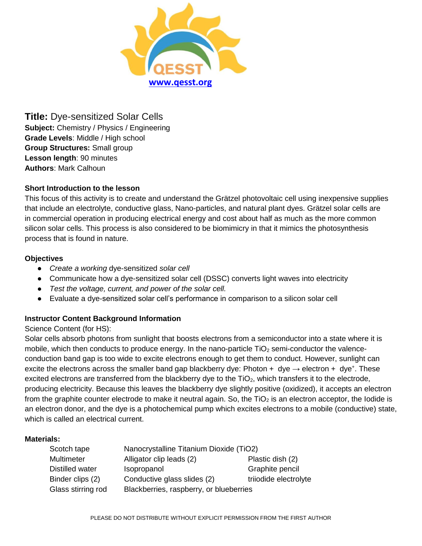

**Title:** Dye-sensitized Solar Cells **Subject:** Chemistry / Physics / Engineering **Grade Levels**: Middle / High school **Group Structures:** Small group **Lesson length**: 90 minutes **Authors**: Mark Calhoun

## **Short Introduction to the lesson**

This focus of this activity is to create and understand the Grätzel photovoltaic cell using inexpensive supplies that include an electrolyte, conductive glass, Nano-particles, and natural plant dyes. Grätzel solar cells are in commercial operation in producing electrical energy and cost about half as much as the more common silicon solar cells. This process is also considered to be biomimicry in that it mimics the photosynthesis process that is found in nature.

## **Objectives**

- *Create a working* dye-sensitized *solar cell*
- Communicate how a dye-sensitized solar cell (DSSC) converts light waves into electricity
- *Test the voltage, current, and power of the solar cell.*
- Evaluate a dye-sensitized solar cell's performance in comparison to a silicon solar cell

## **Instructor Content Background Information**

## Science Content (for HS):

Solar cells absorb photons from sunlight that boosts electrons from a semiconductor into a state where it is mobile, which then conducts to produce energy. In the nano-particle  $TiO<sub>2</sub>$  semi-conductor the valenceconduction band gap is too wide to excite electrons enough to get them to conduct. However, sunlight can excite the electrons across the smaller band gap blackberry dye: Photon + dye  $\rightarrow$  electron + dye<sup>+</sup>. These excited electrons are transferred from the blackberry dye to the  $TiO<sub>2</sub>$ , which transfers it to the electrode, producing electricity. Because this leaves the blackberry dye slightly positive (oxidized), it accepts an electron from the graphite counter electrode to make it neutral again. So, the  $TiO<sub>2</sub>$  is an electron acceptor, the Iodide is an electron donor, and the dye is a photochemical pump which excites electrons to a mobile (conductive) state, which is called an electrical current.

### **Materials:**

| Scotch tape        | Nanocrystalline Titanium Dioxide (TiO2) |                       |
|--------------------|-----------------------------------------|-----------------------|
| Multimeter         | Alligator clip leads (2)                | Plastic dish (2)      |
| Distilled water    | Isopropanol                             | Graphite pencil       |
| Binder clips (2)   | Conductive glass slides (2)             | triiodide electrolyte |
| Glass stirring rod | Blackberries, raspberry, or blueberries |                       |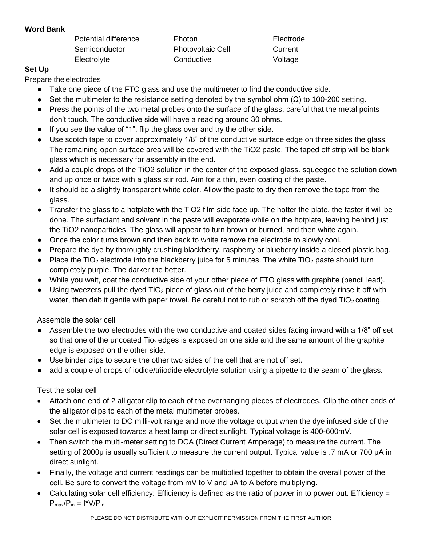## **Word Bank**

Potential difference **Photon** Photon **Electrode** Semiconductor Photovoltaic Cell Current Electrolyte Conductive Conductive Voltage

# **Set Up**

Prepare the electrodes

- Take one piece of the FTO glass and use the multimeter to find the conductive side.
- $\bullet$  Set the multimeter to the resistance setting denoted by the symbol ohm (Ω) to 100-200 setting.
- Press the points of the two metal probes onto the surface of the glass, careful that the metal points don't touch. The conductive side will have a reading around 30 ohms.
- If you see the value of "1", flip the glass over and try the other side.
- Use scotch tape to cover approximately  $1/8$ " of the conductive surface edge on three sides the glass. The remaining open surface area will be covered with the TiO2 paste. The taped off strip will be blank glass which is necessary for assembly in the end.
- Add a couple drops of the TiO2 solution in the center of the exposed glass. squeegee the solution down and up once or twice with a glass stir rod. Aim for a thin, even coating of the paste.
- It should be a slightly transparent white color. Allow the paste to dry then remove the tape from the glass.
- Transfer the glass to a hotplate with the TiO2 film side face up. The hotter the plate, the faster it will be done. The surfactant and solvent in the paste will evaporate while on the hotplate, leaving behind just the TiO2 nanoparticles. The glass will appear to turn brown or burned, and then white again.
- Once the color turns brown and then back to white remove the electrode to slowly cool.
- Prepare the dye by thoroughly crushing blackberry, raspberry or blueberry inside a closed plastic bag.
- Place the TiO<sub>2</sub> electrode into the blackberry juice for 5 minutes. The white TiO<sub>2</sub> paste should turn completely purple. The darker the better.
- While you wait, coat the conductive side of your other piece of FTO glass with graphite (pencil lead).
- $\bullet$  Using tweezers pull the dyed TiO<sub>2</sub> piece of glass out of the berry juice and completely rinse it off with water, then dab it gentle with paper towel. Be careful not to rub or scratch off the dyed  $TiO<sub>2</sub>$  coating.

Assemble the solar cell

- Assemble the two electrodes with the two conductive and coated sides facing inward with a 1/8" off set so that one of the uncoated  $\text{Ti}_{2}$  edges is exposed on one side and the same amount of the graphite edge is exposed on the other side.
- Use binder clips to secure the other two sides of the cell that are not off set.
- add a couple of drops of iodide/triiodide electrolyte solution using a pipette to the seam of the glass.

# Test the solar cell

- Attach one end of 2 alligator clip to each of the overhanging pieces of electrodes. Clip the other ends of the alligator clips to each of the metal multimeter probes.
- Set the multimeter to DC milli-volt range and note the voltage output when the dye infused side of the solar cell is exposed towards a heat lamp or direct sunlight. Typical voltage is 400-600mV.
- Then switch the multi-meter setting to DCA (Direct Current Amperage) to measure the current. The setting of 2000μ is usually sufficient to measure the current output. Typical value is .7 mA or 700 μA in direct sunlight.
- Finally, the voltage and current readings can be multiplied together to obtain the overall power of the cell. Be sure to convert the voltage from mV to V and μA to A before multiplying.
- Calculating solar cell efficiency: Efficiency is defined as the ratio of power in to power out. Efficiency =  $P_{max}/P_{in} = 1*V/P_{in}$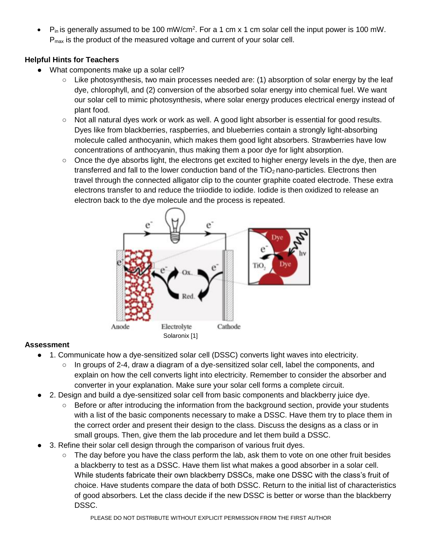$\bullet$  P<sub>in</sub> is generally assumed to be 100 mW/cm<sup>2</sup>. For a 1 cm x 1 cm solar cell the input power is 100 mW. P<sub>max</sub> is the product of the measured voltage and current of your solar cell.

# **Helpful Hints for Teachers**

- What components make up a solar cell?
	- Like photosynthesis, two main processes needed are: (1) absorption of solar energy by the leaf dye, chlorophyll, and (2) conversion of the absorbed solar energy into chemical fuel. We want our solar cell to mimic photosynthesis, where solar energy produces electrical energy instead of plant food.
	- Not all natural dyes work or work as well. A good light absorber is essential for good results. Dyes like from blackberries, raspberries, and blueberries contain a strongly light-absorbing molecule called anthocyanin, which makes them good light absorbers. Strawberries have low concentrations of anthocyanin, thus making them a poor dye for light absorption.
	- Once the dye absorbs light, the electrons get excited to higher energy levels in the dye, then are transferred and fall to the lower conduction band of the  $TiO<sub>2</sub>$  nano-particles. Electrons then travel through the connected alligator clip to the counter graphite coated electrode. These extra electrons transfer to and reduce the triiodide to iodide. Iodide is then oxidized to release an electron back to the dye molecule and the process is repeated.



# **Assessment**

- 1. Communicate how a dye-sensitized solar cell (DSSC) converts light waves into electricity.
	- $\circ$  In groups of 2-4, draw a diagram of a dye-sensitized solar cell, label the components, and explain on how the cell converts light into electricity. Remember to consider the absorber and converter in your explanation. Make sure your solar cell forms a complete circuit.
- 2. Design and build a dye-sensitized solar cell from basic components and blackberry juice dye.
	- Before or after introducing the information from the background section, provide your students with a list of the basic components necessary to make a DSSC. Have them try to place them in the correct order and present their design to the class. Discuss the designs as a class or in small groups. Then, give them the lab procedure and let them build a DSSC.
- 3. Refine their solar cell design through the comparison of various fruit dyes.
	- The day before you have the class perform the lab, ask them to vote on one other fruit besides a blackberry to test as a DSSC. Have them list what makes a good absorber in a solar cell. While students fabricate their own blackberry DSSCs, make one DSSC with the class's fruit of choice. Have students compare the data of both DSSC. Return to the initial list of characteristics of good absorbers. Let the class decide if the new DSSC is better or worse than the blackberry DSSC.